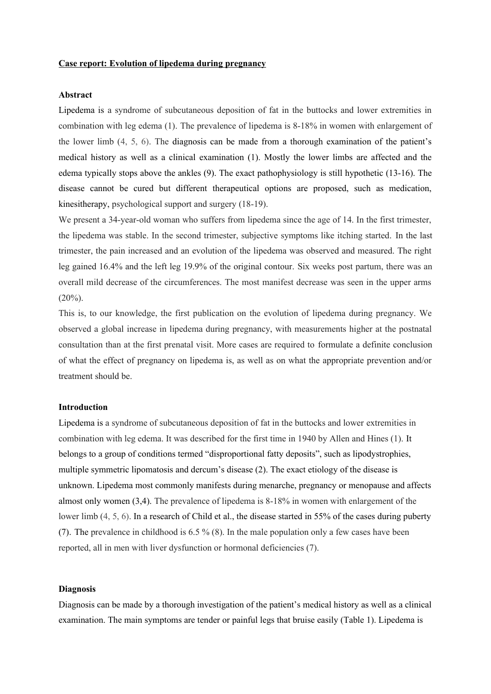# **Case report: Evolution of lipedema during pregnancy**

#### **Abstract**

Lipedema is a syndrome of subcutaneous deposition of fat in the buttocks and lower extremities in combination with leg edema (1). The prevalence of lipedema is 8-18% in women with enlargement of the lower limb (4, 5, 6). The diagnosis can be made from a thorough examination of the patient's medical history as well as a clinical examination (1). Mostly the lower limbs are affected and the edema typically stops above the ankles (9). The exact pathophysiology is still hypothetic (13-16). The disease cannot be cured but different therapeutical options are proposed, such as medication, kinesitherapy, psychological support and surgery (18-19).

We present a 34-year-old woman who suffers from lipedema since the age of 14. In the first trimester, the lipedema was stable. In the second trimester, subjective symptoms like itching started. In the last trimester, the pain increased and an evolution of the lipedema was observed and measured. The right leg gained 16.4% and the left leg 19.9% of the original contour. Six weeks post partum, there was an overall mild decrease of the circumferences. The most manifest decrease was seen in the upper arms  $(20\%)$ .

This is, to our knowledge, the first publication on the evolution of lipedema during pregnancy. We observed a global increase in lipedema during pregnancy, with measurements higher at the postnatal consultation than at the first prenatal visit. More cases are required to formulate a definite conclusion of what the effect of pregnancy on lipedema is, as well as on what the appropriate prevention and/or treatment should be.

#### **Introduction**

Lipedema is a syndrome of subcutaneous deposition of fat in the buttocks and lower extremities in combination with leg edema. It was described for the first time in 1940 by Allen and Hines (1). It belongs to a group of conditions termed "disproportional fatty deposits", such as lipodystrophies, multiple symmetric lipomatosis and dercum's disease (2). The exact etiology of the disease is unknown. Lipedema most commonly manifests during menarche, pregnancy or menopause and affects almost only women (3,4). The prevalence of lipedema is 8-18% in women with enlargement of the lower limb (4, 5, 6). In a research of Child et al., the disease started in 55% of the cases during puberty (7). The prevalence in childhood is 6.5 % (8). In the male population only a few cases have been reported, all in men with liver dysfunction or hormonal deficiencies (7).

#### **Diagnosis**

Diagnosis can be made by a thorough investigation of the patient's medical history as well as a clinical examination. The main symptoms are tender or painful legs that bruise easily (Table 1). Lipedema is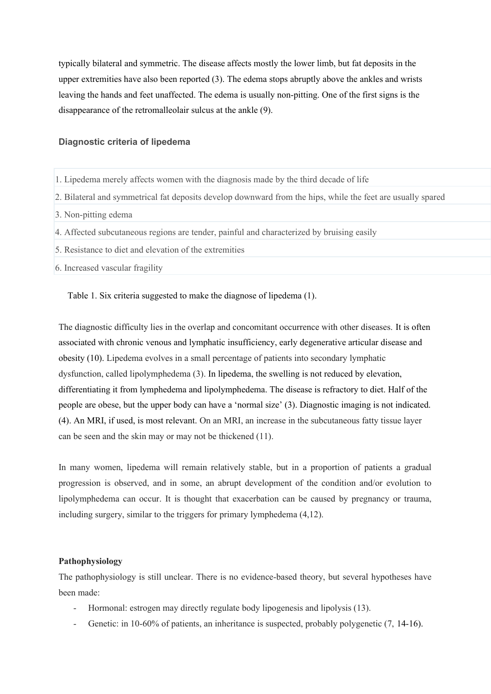typically bilateral and symmetric. The disease affects mostly the lower limb, but fat deposits in the upper extremities have also been reported (3). The edema stops abruptly above the ankles and wrists leaving the hands and feet unaffected. The edema is usually non-pitting. One of the first signs is the disappearance of the retromalleolair sulcus at the ankle (9).

# **Diagnostic criteria of lipedema**

- 1. Lipedema merely affects women with the diagnosis made by the third decade of life
- 2. Bilateral and symmetrical fat deposits develop downward from the hips, while the feet are usually spared
- 3. Non-pitting edema
- 4. Affected subcutaneous regions are tender, painful and characterized by bruising easily
- 5. Resistance to diet and elevation of the extremities
- 6. Increased vascular fragility

Table 1. Six criteria suggested to make the diagnose of lipedema (1).

The diagnostic difficulty lies in the overlap and concomitant occurrence with other diseases. It is often associated with chronic venous and lymphatic insufficiency, early degenerative articular disease and obesity (10). Lipedema evolves in a small percentage of patients into secondary lymphatic dysfunction, called lipolymphedema (3). In lipedema, the swelling is not reduced by elevation, differentiating it from lymphedema and lipolymphedema. The disease is refractory to diet. Half of the people are obese, but the upper body can have a 'normal size' (3). Diagnostic imaging is not indicated. (4). An MRI, if used, is most relevant. On an MRI, an increase in the subcutaneous fatty tissue layer can be seen and the skin may or may not be thickened (11).

In many women, lipedema will remain relatively stable, but in a proportion of patients a gradual progression is observed, and in some, an abrupt development of the condition and/or evolution to lipolymphedema can occur. It is thought that exacerbation can be caused by pregnancy or trauma, including surgery, similar to the triggers for primary lymphedema (4,12).

### **Pathophysiology**

The pathophysiology is still unclear. There is no evidence-based theory, but several hypotheses have been made:

- Hormonal: estrogen may directly regulate body lipogenesis and lipolysis (13).
- Genetic: in 10-60% of patients, an inheritance is suspected, probably polygenetic (7, 14-16).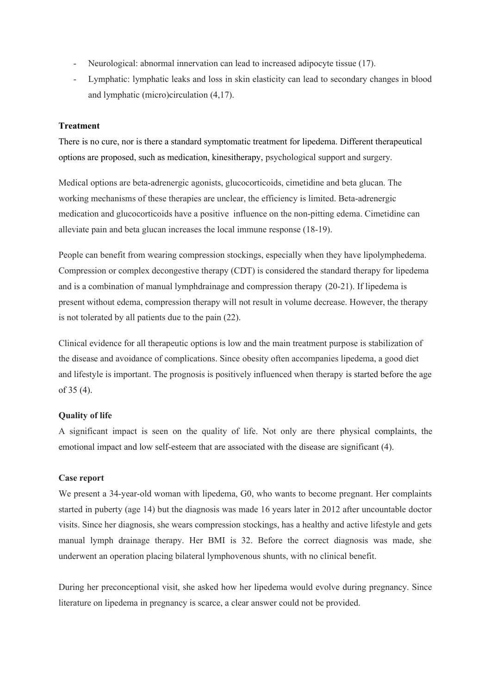- Neurological: abnormal innervation can lead to increased adipocyte tissue (17).
- Lymphatic: lymphatic leaks and loss in skin elasticity can lead to secondary changes in blood and lymphatic (micro)circulation (4,17).

# **Treatment**

There is no cure, nor is there a standard symptomatic treatment for lipedema. Different therapeutical options are proposed, such as medication, kinesitherapy, psychological support and surgery.

Medical options are beta-adrenergic agonists, glucocorticoids, cimetidine and beta glucan. The working mechanisms of these therapies are unclear, the efficiency is limited. Beta-adrenergic medication and glucocorticoids have a positive influence on the non-pitting edema. Cimetidine can alleviate pain and beta glucan increases the local immune response (18-19).

People can benefit from wearing compression stockings, especially when they have lipolymphedema. Compression or complex decongestive therapy (CDT) is considered the standard therapy for lipedema and is a combination of manual lymphdrainage and compression therapy (20-21). If lipedema is present without edema, compression therapy will not result in volume decrease. However, the therapy is not tolerated by all patients due to the pain (22).

Clinical evidence for all therapeutic options is low and the main treatment purpose is stabilization of the disease and avoidance of complications. Since obesity often accompanies lipedema, a good diet and lifestyle is important. The prognosis is positively influenced when therapy is started before the age of 35 (4).

# **Quality of life**

A significant impact is seen on the quality of life. Not only are there physical complaints, the emotional impact and low self-esteem that are associated with the disease are significant (4).

### **Case report**

We present a 34-year-old woman with lipedema, G0, who wants to become pregnant. Her complaints started in puberty (age 14) but the diagnosis was made 16 years later in 2012 after uncountable doctor visits. Since her diagnosis, she wears compression stockings, has a healthy and active lifestyle and gets manual lymph drainage therapy. Her BMI is 32. Before the correct diagnosis was made, she underwent an operation placing bilateral lymphovenous shunts, with no clinical benefit.

During her preconceptional visit, she asked how her lipedema would evolve during pregnancy. Since literature on lipedema in pregnancy is scarce, a clear answer could not be provided.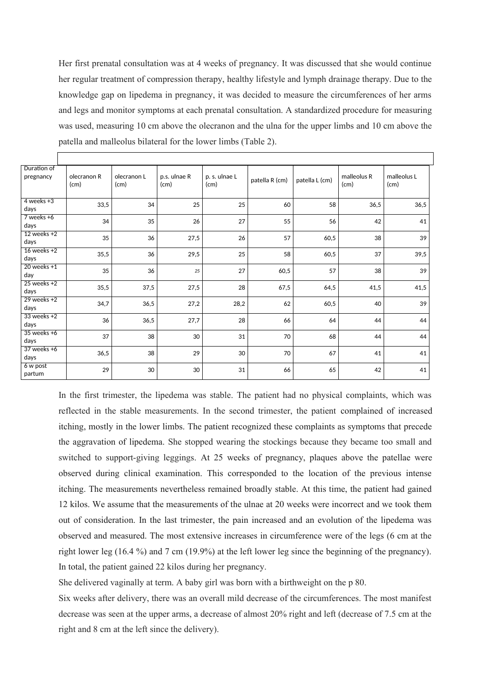Her first prenatal consultation was at 4 weeks of pregnancy. It was discussed that she would continue her regular treatment of compression therapy, healthy lifestyle and lymph drainage therapy. Due to the knowledge gap on lipedema in pregnancy, it was decided to measure the circumferences of her arms and legs and monitor symptoms at each prenatal consultation. A standardized procedure for measuring was used, measuring 10 cm above the olecranon and the ulna for the upper limbs and 10 cm above the patella and malleolus bilateral for the lower limbs (Table 2).

| Duration of<br>pregnancy | olecranon R<br>(cm) | olecranon L<br>(cm) | p.s. ulnae R<br>(cm) | p. s. ulnae L<br>(cm) | patella R (cm) | patella L (cm) | malleolus R<br>(cm) | malleolus L<br>(cm) |
|--------------------------|---------------------|---------------------|----------------------|-----------------------|----------------|----------------|---------------------|---------------------|
| $4$ weeks $+3$<br>days   | 33,5                | 34                  | 25                   | 25                    | 60             | 58             | 36,5                | 36,5                |
| $7$ weeks $+6$<br>days   | 34                  | 35                  | 26                   | 27                    | 55             | 56             | 42                  | 41                  |
| $12$ weeks $+2$<br>days  | 35                  | 36                  | 27,5                 | 26                    | 57             | 60,5           | 38                  | 39                  |
| $16$ weeks $+2$<br>days  | 35,5                | 36                  | 29,5                 | 25                    | 58             | 60,5           | 37                  | 39,5                |
| $20$ weeks $+1$<br>day   | 35                  | 36                  | 25                   | 27                    | 60,5           | 57             | 38                  | 39                  |
| $25$ weeks $+2$<br>days  | 35,5                | 37,5                | 27,5                 | 28                    | 67,5           | 64,5           | 41,5                | 41,5                |
| $29$ weeks $+2$<br>days  | 34,7                | 36,5                | 27,2                 | 28,2                  | 62             | 60,5           | 40                  | 39                  |
| $33$ weeks $+2$<br>days  | 36                  | 36,5                | 27,7                 | 28                    | 66             | 64             | 44                  | 44                  |
| $35$ weeks $+6$<br>days  | 37                  | 38                  | 30                   | 31                    | 70             | 68             | 44                  | 44                  |
| $37$ weeks +6<br>days    | 36,5                | 38                  | 29                   | 30                    | 70             | 67             | 41                  | 41                  |
| 6 w post<br>partum       | 29                  | 30                  | 30                   | 31                    | 66             | 65             | 42                  | 41                  |

In the first trimester, the lipedema was stable. The patient had no physical complaints, which was reflected in the stable measurements. In the second trimester, the patient complained of increased itching, mostly in the lower limbs. The patient recognized these complaints as symptoms that precede the aggravation of lipedema. She stopped wearing the stockings because they became too small and switched to support-giving leggings. At 25 weeks of pregnancy, plaques above the patellae were observed during clinical examination. This corresponded to the location of the previous intense itching. The measurements nevertheless remained broadly stable. At this time, the patient had gained 12 kilos. We assume that the measurements of the ulnae at 20 weeks were incorrect and we took them out of consideration. In the last trimester, the pain increased and an evolution of the lipedema was observed and measured. The most extensive increases in circumference were of the legs (6 cm at the right lower leg (16.4 %) and 7 cm (19.9%) at the left lower leg since the beginning of the pregnancy). In total, the patient gained 22 kilos during her pregnancy.

She delivered vaginally at term. A baby girl was born with a birthweight on the p 80.

Six weeks after delivery, there was an overall mild decrease of the circumferences. The most manifest decrease was seen at the upper arms, a decrease of almost 20% right and left (decrease of 7.5 cm at the right and 8 cm at the left since the delivery).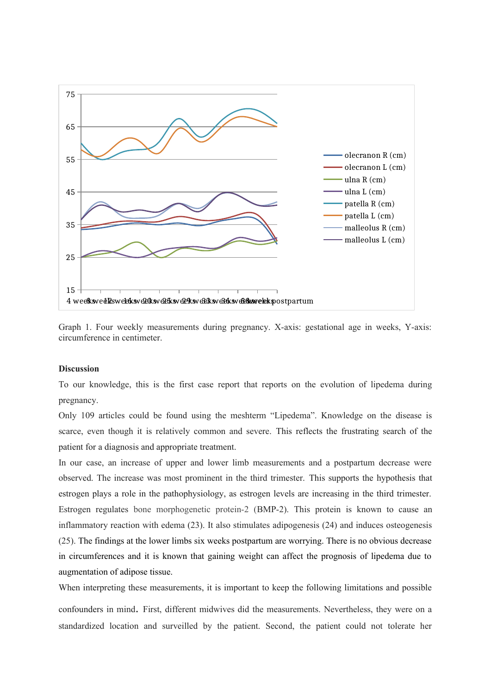



#### **Discussion**

To our knowledge, this is the first case report that reports on the evolution of lipedema during pregnancy.

Only 109 articles could be found using the meshterm "Lipedema". Knowledge on the disease is scarce, even though it is relatively common and severe. This reflects the frustrating search of the patient for a diagnosis and appropriate treatment.

In our case, an increase of upper and lower limb measurements and a postpartum decrease were observed. The increase was most prominent in the third trimester. This supports the hypothesis that estrogen plays a role in the pathophysiology, as estrogen levels are increasing in the third trimester. Estrogen regulates bone morphogenetic protein-2 (BMP-2). This protein is known to cause an inflammatory reaction with edema (23). It also stimulates adipogenesis (24) and induces osteogenesis (25). The findings at the lower limbs six weeks postpartum are worrying. There is no obvious decrease in circumferences and it is known that gaining weight can affect the prognosis of lipedema due to augmentation of adipose tissue.

When interpreting these measurements, it is important to keep the following limitations and possible

confounders in mind. First, different midwives did the measurements. Nevertheless, they were on a standardized location and surveilled by the patient. Second, the patient could not tolerate her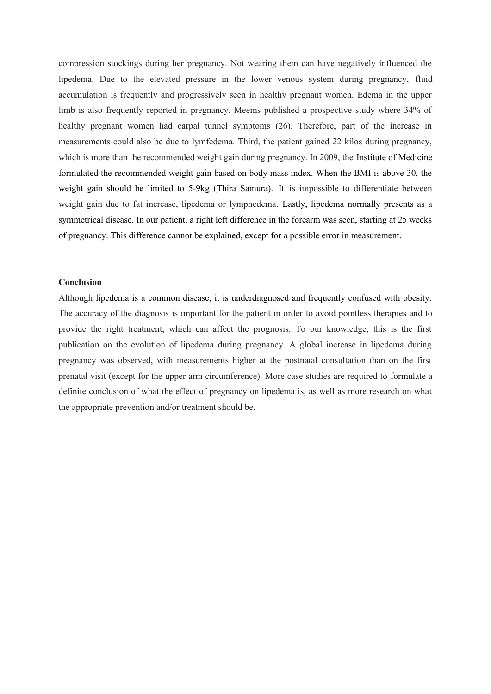compression stockings during her pregnancy. Not wearing them can have negatively influenced the lipedema. Due to the elevated pressure in the lower venous system during pregnancy, fluid accumulation is frequently and progressively seen in healthy pregnant women. Edema in the upper limb is also frequently reported in pregnancy. Meems published a prospective study where 34% of healthy pregnant women had carpal tunnel symptoms (26). Therefore, part of the increase in measurements could also be due to lymfedema. Third, the patient gained 22 kilos during pregnancy, which is more than the recommended weight gain during pregnancy. In 2009, the Institute of Medicine formulated the recommended weight gain based on body mass index. When the BMI is above 30, the weight gain should be limited to 5-9kg (Thira Samura). It is impossible to differentiate between weight gain due to fat increase, lipedema or lymphedema. Lastly, lipedema normally presents as a symmetrical disease. In our patient, a right left difference in the forearm was seen, starting at 25 weeks of pregnancy. This difference cannot be explained, except for a possible error in measurement.

#### **Conclusion**

Although lipedema is a common disease, it is underdiagnosed and frequently confused with obesity. The accuracy of the diagnosis is important for the patient in order to avoid pointless therapies and to provide the right treatment, which can affect the prognosis. To our knowledge, this is the first publication on the evolution of lipedema during pregnancy. A global increase in lipedema during pregnancy was observed, with measurements higher at the postnatal consultation than on the first prenatal visit (except for the upper arm circumference). More case studies are required to formulate a definite conclusion of what the effect of pregnancy on lipedema is, as well as more research on what the appropriate prevention and/or treatment should be.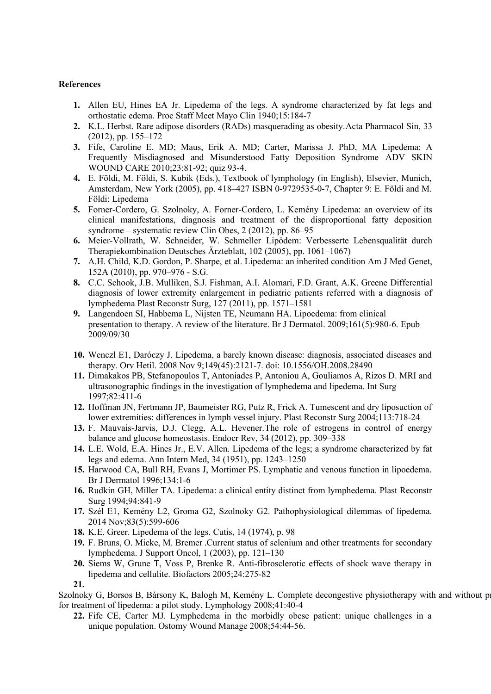# **References**

- **1.** Allen EU, Hines EA Jr. Lipedema of the legs. A syndrome characterized by fat legs and orthostatic edema. Proc Staff Meet Mayo Clin 1940;15:184-7
- **2.** K.L. Herbst. Rare adipose disorders (RADs) masquerading as obesity.Acta Pharmacol Sin, 33 (2012), pp. 155–172
- **3.** Fife, Caroline E. MD; Maus, Erik A. MD; Carter, Marissa J. PhD, MA Lipedema: A Frequently Misdiagnosed and Misunderstood Fatty Deposition Syndrome ADV SKIN WOUND CARE 2010;23:81-92; quiz 93-4.
- **4.** E. Földi, M. Földi, S. Kubik (Eds.), Textbook of lymphology (in English), Elsevier, Munich, Amsterdam, New York (2005), pp. 418–427 ISBN 0-9729535-0-7, Chapter 9: E. Földi and M. Földi: Lipedema
- **5.** Forner-Cordero, G. Szolnoky, A. Forner-Cordero, L. Kemény Lipedema: an overview of its clinical manifestations, diagnosis and treatment of the disproportional fatty deposition syndrome – systematic review Clin Obes, 2 (2012), pp. 86–95
- **6.** Meier-Vollrath, W. Schneider, W. Schmeller Lipödem: Verbesserte Lebensqualität durch Therapiekombination Deutsches Ärzteblatt, 102 (2005), pp. 1061–1067)
- **7.** A.H. Child, K.D. Gordon, P. Sharpe, et al. Lipedema: an inherited condition Am J Med Genet, 152A (2010), pp. 970–976 - S.G.
- **8.** C.C. Schook, J.B. Mulliken, S.J. Fishman, A.I. Alomari, F.D. Grant, A.K. Greene Differential diagnosis of lower extremity enlargement in pediatric patients referred with a diagnosis of lymphedema Plast Reconstr Surg, 127 (2011), pp. 1571–1581
- **9.** Langendoen SI, Habbema L, Nijsten TE, Neumann HA. Lipoedema: from clinical presentation to therapy. A review of the literature. Br J Dermatol. 2009;161(5):980-6. Epub 2009/09/30
- **10.** Wenczl E1, Daróczy J. Lipedema, a barely known disease: diagnosis, associated diseases and therapy. Orv Hetil. 2008 Nov 9;149(45):2121-7. doi: 10.1556/OH.2008.28490
- **11.** Dimakakos PB, Stefanopoulos T, Antoniades P, Antoniou A, Gouliamos A, Rizos D. MRI and ultrasonographic findings in the investigation of lymphedema and lipedema. Int Surg 1997;82:411-6
- **12.** Hoffman JN, Fertmann JP, Baumeister RG, Putz R, Frick A. Tumescent and dry liposuction of lower extremities: differences in lymph vessel injury. Plast Reconstr Surg 2004;113:718-24
- **13.** F. Mauvais-Jarvis, D.J. Clegg, A.L. Hevener.The role of estrogens in control of energy balance and glucose homeostasis. Endocr Rev, 34 (2012), pp. 309–338
- **14.** L.E. Wold, E.A. Hines Jr., E.V. Allen. Lipedema of the legs; a syndrome characterized by fat legs and edema. Ann Intern Med, 34 (1951), pp. 1243–1250
- **15.** Harwood CA, Bull RH, Evans J, Mortimer PS. Lymphatic and venous function in lipoedema. Br J Dermatol 1996;134:1-6
- **16.** Rudkin GH, Miller TA. Lipedema: a clinical entity distinct from lymphedema. Plast Reconstr Surg 1994;94:841-9
- **17.** Szél E1, Kemény L2, Groma G2, Szolnoky G2. Pathophysiological dilemmas of lipedema. 2014 Nov;83(5):599-606
- **18.** K.E. Greer. Lipedema of the legs. Cutis, 14 (1974), p. 98
- **19.** F. Bruns, O. Micke, M. Bremer .Current status of selenium and other treatments for secondary lymphedema. J Support Oncol, 1 (2003), pp. 121–130
- **20.** Siems W, Grune T, Voss P, Brenke R. Anti-fibrosclerotic effects of shock wave therapy in lipedema and cellulite. Biofactors 2005;24:275-82

Szolnoky G, Borsos B, Bársony K, Balogh M, Kemény L. Complete decongestive physiotherapy with and without p for treatment of lipedema: a pilot study. Lymphology 2008;41:40-4

**22.** Fife CE, Carter MJ. Lymphedema in the morbidly obese patient: unique challenges in a unique population. Ostomy Wound Manage 2008;54:44-56.

**<sup>21.</sup>**